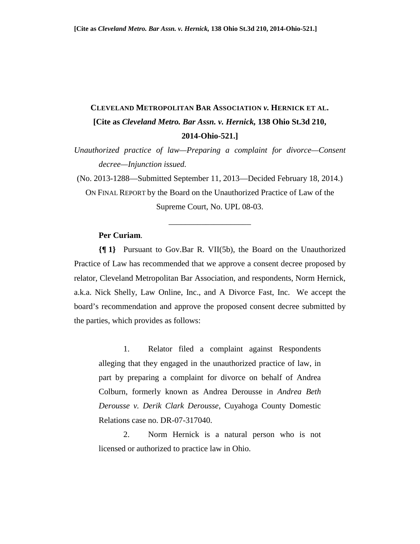## **CLEVELAND METROPOLITAN BAR ASSOCIATION** *v.* **HERNICK ET AL. [Cite as** *Cleveland Metro. Bar Assn. v. Hernick,* **138 Ohio St.3d 210, 2014-Ohio-521.]**

*Unauthorized practice of law—Preparing a complaint for divorce—Consent decree—Injunction issued.* 

(No. 2013-1288—Submitted September 11, 2013—Decided February 18, 2014.) ON FINAL REPORT by the Board on the Unauthorized Practice of Law of the Supreme Court, No. UPL 08-03.

\_\_\_\_\_\_\_\_\_\_\_\_\_\_\_\_\_\_\_\_

## **Per Curiam**.

**{¶ 1}** Pursuant to Gov.Bar R. VII(5b), the Board on the Unauthorized Practice of Law has recommended that we approve a consent decree proposed by relator, Cleveland Metropolitan Bar Association, and respondents, Norm Hernick, a.k.a. Nick Shelly, Law Online, Inc., and A Divorce Fast, Inc. We accept the board's recommendation and approve the proposed consent decree submitted by the parties, which provides as follows:

1. Relator filed a complaint against Respondents alleging that they engaged in the unauthorized practice of law, in part by preparing a complaint for divorce on behalf of Andrea Colburn, formerly known as Andrea Derousse in *Andrea Beth Derousse v. Derik Clark Derousse*, Cuyahoga County Domestic Relations case no. DR-07-317040.

2. Norm Hernick is a natural person who is not licensed or authorized to practice law in Ohio.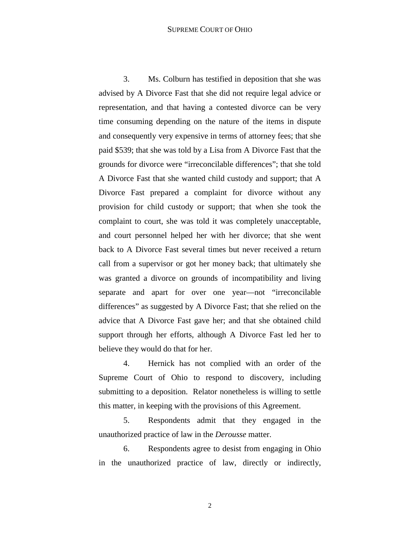3. Ms. Colburn has testified in deposition that she was advised by A Divorce Fast that she did not require legal advice or representation, and that having a contested divorce can be very time consuming depending on the nature of the items in dispute and consequently very expensive in terms of attorney fees; that she paid \$539; that she was told by a Lisa from A Divorce Fast that the grounds for divorce were "irreconcilable differences"; that she told A Divorce Fast that she wanted child custody and support; that A Divorce Fast prepared a complaint for divorce without any provision for child custody or support; that when she took the complaint to court, she was told it was completely unacceptable, and court personnel helped her with her divorce; that she went back to A Divorce Fast several times but never received a return call from a supervisor or got her money back; that ultimately she was granted a divorce on grounds of incompatibility and living separate and apart for over one year—not "irreconcilable differences" as suggested by A Divorce Fast; that she relied on the advice that A Divorce Fast gave her; and that she obtained child support through her efforts, although A Divorce Fast led her to believe they would do that for her.

4. Hernick has not complied with an order of the Supreme Court of Ohio to respond to discovery, including submitting to a deposition. Relator nonetheless is willing to settle this matter, in keeping with the provisions of this Agreement.

5. Respondents admit that they engaged in the unauthorized practice of law in the *Derousse* matter.

6. Respondents agree to desist from engaging in Ohio in the unauthorized practice of law, directly or indirectly,

2